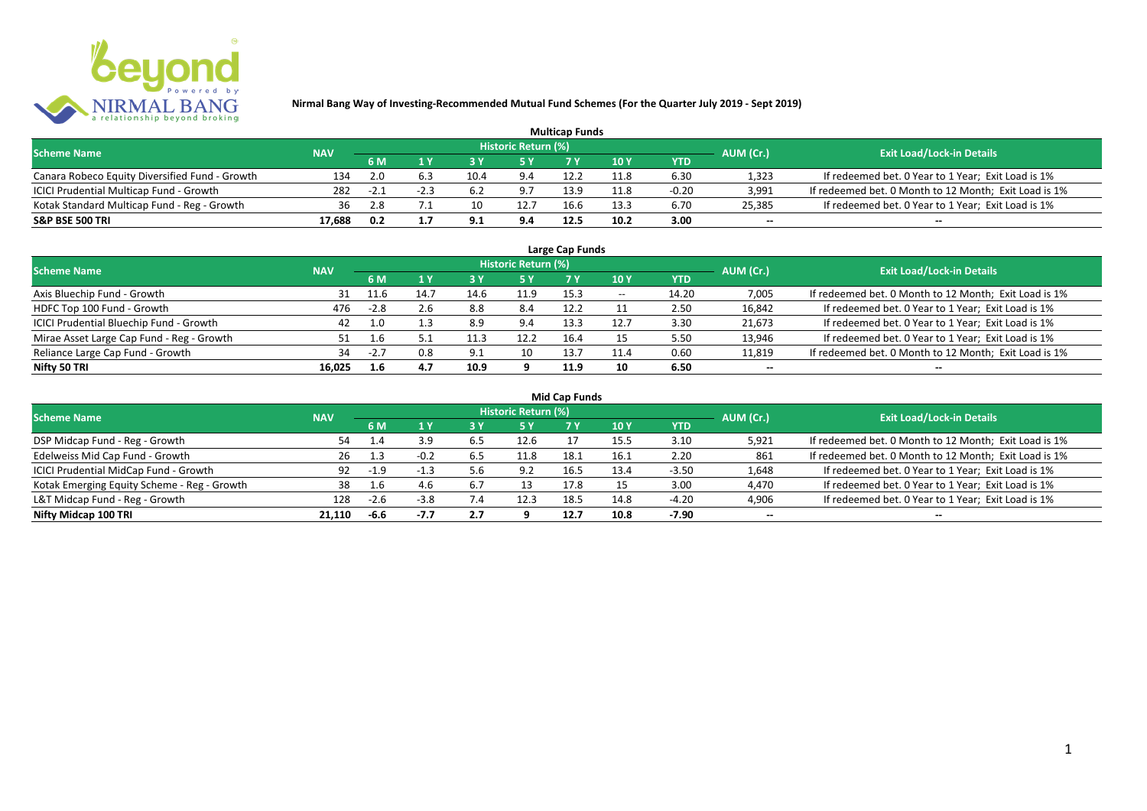

| <b>Multicap Funds</b>                          |            |        |      |      |                            |      |      |         |                          |                                                       |  |  |
|------------------------------------------------|------------|--------|------|------|----------------------------|------|------|---------|--------------------------|-------------------------------------------------------|--|--|
| <b>Scheme Name</b>                             | <b>NAV</b> |        |      |      | <b>Historic Return (%)</b> |      |      |         | AUM (Cr.)                | <b>Exit Load/Lock-in Details</b>                      |  |  |
|                                                |            | 6 M    |      |      |                            |      | 10Y  | YTD     |                          |                                                       |  |  |
| Canara Robeco Equity Diversified Fund - Growth | 134        | 2.0    | 6.3  | 10.4 | 9.4                        | 12.2 | 11.8 | 6.30    | 1,323                    | If redeemed bet. 0 Year to 1 Year; Exit Load is 1%    |  |  |
| ICICI Prudential Multicap Fund - Growth        | 282        | $-2.1$ | -2.3 | 6.2  | 9.7                        | 13.9 | 11.8 | $-0.20$ | 3,991                    | If redeemed bet. 0 Month to 12 Month; Exit Load is 1% |  |  |
| Kotak Standard Multicap Fund - Reg - Growth    | 36         | 2.8    |      |      | 12.7                       | 16.6 | 13.3 | 6.70    | 25,385                   | If redeemed bet. 0 Year to 1 Year; Exit Load is 1%    |  |  |
| S&P BSE 500 TRI                                | 17.688     | 0.2    |      | Q 1  | 9.4                        | 12.5 | 10.2 | 3.00    | $\overline{\phantom{a}}$ | $\overline{\phantom{a}}$                              |  |  |

| Large Cap Funds<br>Historic Return (%)    |            |        |      |      |      |      |                                       |            |                          |                                                       |  |  |  |
|-------------------------------------------|------------|--------|------|------|------|------|---------------------------------------|------------|--------------------------|-------------------------------------------------------|--|--|--|
| <b>Scheme Name</b>                        | <b>NAV</b> | 6 M    | 1 Y  |      | 5 Y  |      | 10Y                                   | <b>YTD</b> | AUM (Cr.)                | <b>Exit Load/Lock-in Details</b>                      |  |  |  |
| Axis Bluechip Fund - Growth               | 31         | 11.6   | 14.7 | 14.6 | 11.9 | 15.3 | $\hspace{0.05cm}$ – $\hspace{0.05cm}$ | 14.20      | 7,005                    | If redeemed bet. 0 Month to 12 Month; Exit Load is 1% |  |  |  |
| HDFC Top 100 Fund - Growth                | 476        | $-2.8$ | 2.6  | 8.8  | 8.4  | 12.2 |                                       | 2.50       | 16,842                   | If redeemed bet. 0 Year to 1 Year; Exit Load is 1%    |  |  |  |
| ICICI Prudential Bluechip Fund - Growth   | 42         | 1.0    |      | 8.9  | 9.4  | 13.3 | 12.7                                  | 3.30       | 21,673                   | If redeemed bet. 0 Year to 1 Year; Exit Load is 1%    |  |  |  |
| Mirae Asset Large Cap Fund - Reg - Growth |            | 1.6    |      |      | 12.2 | 16.4 | 15                                    | 5.50       | 13,946                   | If redeemed bet. 0 Year to 1 Year; Exit Load is 1%    |  |  |  |
| Reliance Large Cap Fund - Growth          | 34         | $-2.7$ | 0.8  | 9.1  | 10   | 13.7 | 11.4                                  | 0.60       | 11,819                   | If redeemed bet. 0 Month to 12 Month; Exit Load is 1% |  |  |  |
| Nifty 50 TRI                              | 16.025     | 1.6    | 4.7  | 10.9 | o    | 11.9 | 10                                    | 6.50       | $\overline{\phantom{a}}$ | $\overline{\phantom{a}}$                              |  |  |  |

| <b>Mid Cap Funds</b> |  |
|----------------------|--|
|----------------------|--|

| <b>Scheme Name</b>                          | <b>NAV</b> |          |        |     | Historic Return (%) |      |      |            | AUM (Cr.)                | <b>Exit Load/Lock-in Details</b>                      |
|---------------------------------------------|------------|----------|--------|-----|---------------------|------|------|------------|--------------------------|-------------------------------------------------------|
|                                             |            | 6 M      |        | 3 Y | 5 Y                 |      | 10 Y | <b>YTD</b> |                          |                                                       |
| DSP Midcap Fund - Reg - Growth              | 54         | $\pm .4$ | 3.9    | 6.5 | 12.6                |      | 15.5 | 3.10       | 5,921                    | If redeemed bet. 0 Month to 12 Month; Exit Load is 1% |
| Edelweiss Mid Cap Fund - Growth             | 26         |          | $-0.2$ |     | 11.8                | 18.1 | 16.1 | 2.20       | 861                      | If redeemed bet. 0 Month to 12 Month; Exit Load is 1% |
| ICICI Prudential MidCap Fund - Growth       | 92         | $-1.9$   | $-1.3$ | 5.6 | 9.2                 | 16.5 | 13.4 | $-3.50$    | 1,648                    | If redeemed bet. 0 Year to 1 Year; Exit Load is 1%    |
| Kotak Emerging Equity Scheme - Reg - Growth | 38         |          |        |     |                     | 17.8 |      | 3.00       | 4,470                    | If redeemed bet. 0 Year to 1 Year; Exit Load is 1%    |
| L&T Midcap Fund - Reg - Growth              | 128        | $-2.6$   | $-3.8$ | 7.4 | 12.3                | 18.5 | 14.8 | $-4.20$    | 4,906                    | If redeemed bet. 0 Year to 1 Year; Exit Load is 1%    |
| Nifty Midcap 100 TRI                        | 21.110     | -6.6     | -7.7   | 2.7 |                     | 12.7 | 10.8 | $-7.90$    | $\overline{\phantom{a}}$ | $\hspace{0.1mm}-\hspace{0.1mm}-\hspace{0.1mm}$        |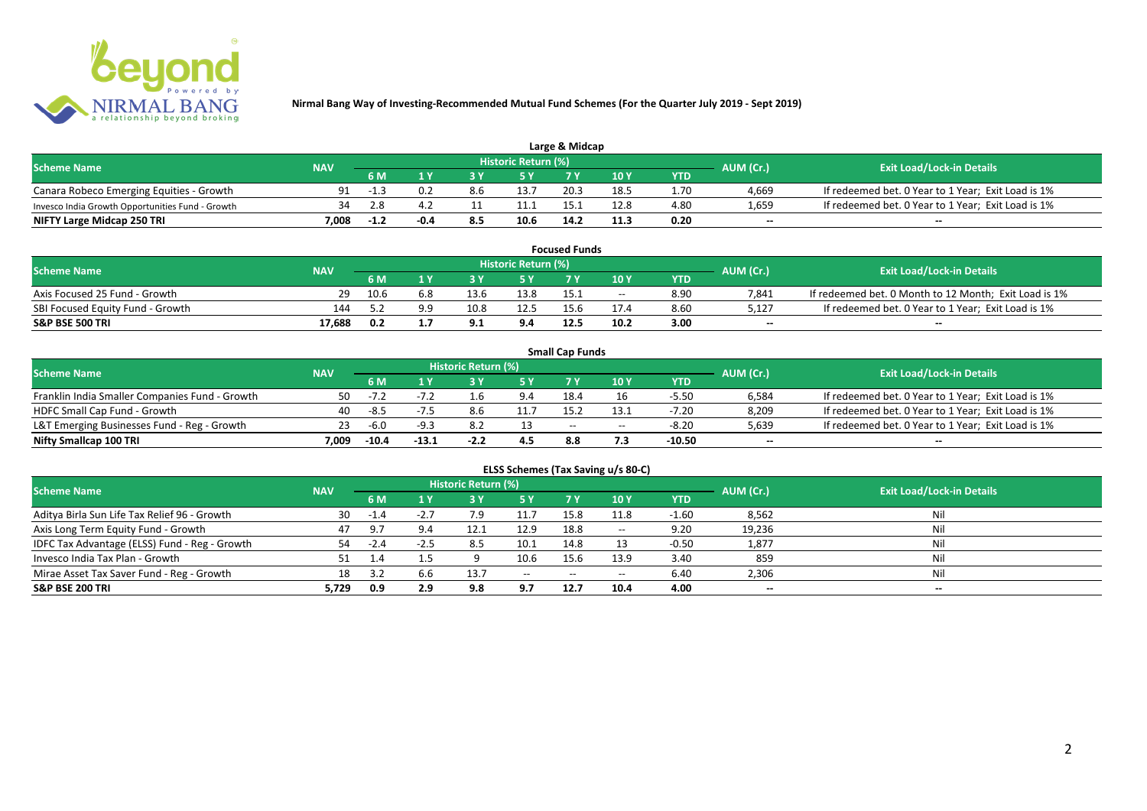

| Large & Midcap                                   |            |        |     |     |                     |      |      |      |                          |                                                    |  |  |
|--------------------------------------------------|------------|--------|-----|-----|---------------------|------|------|------|--------------------------|----------------------------------------------------|--|--|
| <b>Scheme Name</b>                               | <b>NAV</b> |        |     |     | Historic Return (%) |      |      |      | AUM (Cr.)                | <b>Exit Load/Lock-in Details</b>                   |  |  |
|                                                  |            | 6 M    |     |     |                     | 7 M  | 10Y  | YTD  |                          |                                                    |  |  |
| Canara Robeco Emerging Equities - Growth         | 91         | -1.3   | 0.2 | 8.6 | 13.7                | 20.3 | 18.5 | 1.70 | 4.669                    | If redeemed bet. 0 Year to 1 Year; Exit Load is 1% |  |  |
| Invesco India Growth Opportunities Fund - Growth |            | 2.8    |     |     | 11.1                |      | 12.8 | 4.80 | 1,659                    | If redeemed bet. 0 Year to 1 Year; Exit Load is 1% |  |  |
| NIFTY Large Midcap 250 TRI                       | 7.008      | $-1.2$ |     | 8.5 | 10.6                | 14.2 | 11.3 | 0.20 | $\overline{\phantom{a}}$ | $- -$                                              |  |  |

| <b>Focused Funds</b>             |            |      |     |      |                     |      |       |            |           |                                                       |  |
|----------------------------------|------------|------|-----|------|---------------------|------|-------|------------|-----------|-------------------------------------------------------|--|
| <b>Scheme Name</b>               | <b>NAV</b> |      |     |      | Historic Return (%) |      |       |            | AUM (Cr.) | <b>Exit Load/Lock-in Details</b>                      |  |
|                                  |            | 6 M  |     |      | E V                 | 7 V  | 10 Y  | <b>YTD</b> |           |                                                       |  |
| Axis Focused 25 Fund - Growth    | 29         | 10.6 | 6.8 | 13.6 | 13.8                | 15.1 | $- -$ | 8.90       | 7,841     | If redeemed bet. 0 Month to 12 Month; Exit Load is 1% |  |
| SBI Focused Equity Fund - Growth | 144        |      | 99  | 10.8 | 12.5                | 15.6 |       | 8.60       | 5,127     | If redeemed bet. 0 Year to 1 Year; Exit Load is 1%    |  |
| <b>S&amp;P BSE 500 TRI</b>       | 17.688     | 0.2  |     | - -  | 9.4                 | 12.5 | 10.2  | 3.00       | $-$       | $- -$                                                 |  |

|                                                |            |         |         |                     |      | <b>Small Cap Funds</b> |       |         |                          |                                                    |
|------------------------------------------------|------------|---------|---------|---------------------|------|------------------------|-------|---------|--------------------------|----------------------------------------------------|
| <b>Scheme Name</b>                             | <b>NAV</b> |         |         | Historic Return (%) |      |                        |       |         | AUM (Cr.)                | <b>Exit Load/Lock-in Details</b>                   |
|                                                |            | 6 M     |         |                     |      |                        | 10 Y  | YTD     |                          |                                                    |
| Franklin India Smaller Companies Fund - Growth | 50.        | $-7.2$  |         |                     | 9.4  | 18.4                   |       | $-5.50$ | 6,584                    | If redeemed bet. 0 Year to 1 Year; Exit Load is 1% |
| HDFC Small Cap Fund - Growth                   | 40         | -8.5    | $-7.5$  | 8.6                 | 11.7 | 15.2                   |       | $-7.20$ | 8,209                    | If redeemed bet. 0 Year to 1 Year; Exit Load is 1% |
| L&T Emerging Businesses Fund - Reg - Growth    | 23         | -6.0    | $-9.3$  |                     |      | $-$                    | $- -$ | $-8.20$ | 5,639                    | If redeemed bet. 0 Year to 1 Year; Exit Load is 1% |
| Nifty Smallcap 100 TRI                         | 7.009      | $-10.4$ | $-13.1$ | $-2.2$              | 4.5  | 8.8                    |       | -10.50  | $\overline{\phantom{a}}$ | $-$                                                |

|                                               |            |        |         |                     |           |           | ELSS Schemes (Tax Saving u/s 80-C)    |            |                          |                                  |
|-----------------------------------------------|------------|--------|---------|---------------------|-----------|-----------|---------------------------------------|------------|--------------------------|----------------------------------|
| <b>Scheme Name</b>                            | <b>NAV</b> |        |         | Historic Return (%) |           |           |                                       |            | AUM (Cr.)                | <b>Exit Load/Lock-in Details</b> |
|                                               |            | 6 M    | 4 V     | 3 Y                 | <b>5Y</b> | <b>7Y</b> | <b>10 Y</b>                           | <b>YTD</b> |                          |                                  |
| Aditya Birla Sun Life Tax Relief 96 - Growth  | 30         | $-1.4$ | $-2.7$  | 7.9                 | 11.7      | 15.8      | 11.8                                  | $-1.60$    | 8,562                    | Nil                              |
| Axis Long Term Equity Fund - Growth           | 47         | 9.7    | 9.4     | 12.1                | 12.9      | 18.8      | $\hspace{0.05cm}$ – $\hspace{0.05cm}$ | 9.20       | 19,236                   | Nil                              |
| IDFC Tax Advantage (ELSS) Fund - Reg - Growth | 54         | $-2.4$ | $-2.5$  | 8.5                 | 10.1      | 14.8      |                                       | $-0.50$    | 1,877                    | Nil                              |
| Invesco India Tax Plan - Growth               |            | 1.4    | $1.5\,$ |                     | 10.6      | 15.6      | 13.9                                  | 3.40       | 859                      | Nil                              |
| Mirae Asset Tax Saver Fund - Reg - Growth     | 18         | 3.2    | 6.6     | 13.7                | $- -$     | $- -$     | $- -$                                 | 6.40       | 2,306                    | Nil                              |
| S&P BSE 200 TRI                               | 5,729      | 0.9    | 2.9     | 9.8                 | 9.7       | 12.7      | 10.4                                  | 4.00       | $\overline{\phantom{a}}$ | $\overline{\phantom{a}}$         |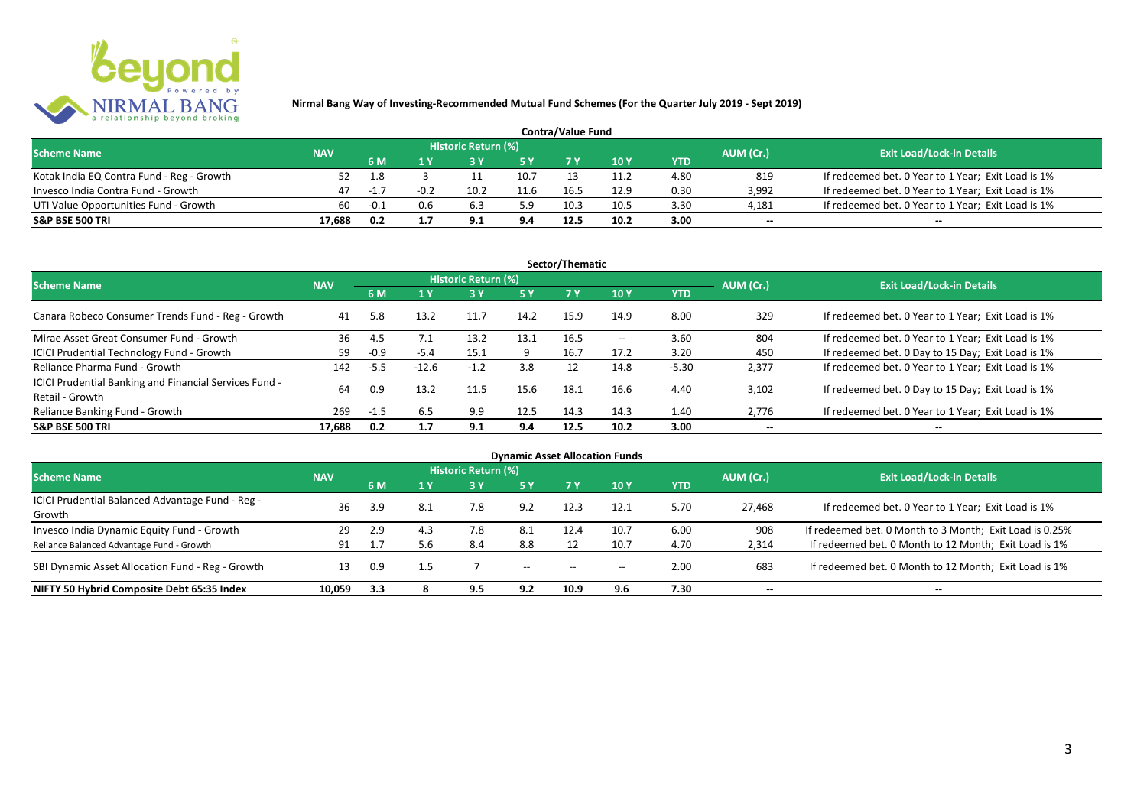

| <b>Contra/Value Fund</b>                  |            |        |        |                     |      |      |      |            |                          |                                                    |  |  |
|-------------------------------------------|------------|--------|--------|---------------------|------|------|------|------------|--------------------------|----------------------------------------------------|--|--|
| <b>Scheme Name</b>                        | <b>NAV</b> |        |        | Historic Return (%) |      |      |      |            | AUM (Cr.)                | <b>Exit Load/Lock-in Details</b>                   |  |  |
|                                           |            | 6 M    |        |                     | E V  |      | 10 Y | <b>YTD</b> |                          |                                                    |  |  |
| Kotak India EQ Contra Fund - Reg - Growth | 52         | 1.8    |        |                     | 10.7 | 13   | 11.2 | 4.80       | 819                      | If redeemed bet. 0 Year to 1 Year; Exit Load is 1% |  |  |
| Invesco India Contra Fund - Growth        | 47         | $-1.7$ | $-0.2$ | 10.2                | 11.6 | 16.5 | 12.9 | 0.30       | 3,992                    | If redeemed bet. 0 Year to 1 Year; Exit Load is 1% |  |  |
| UTI Value Opportunities Fund - Growth     | 60         | $-0.1$ | 0.6    |                     | 5.9  | 10.3 | 10.5 | 3.30       | 4,181                    | If redeemed bet. 0 Year to 1 Year; Exit Load is 1% |  |  |
| <b>S&amp;P BSE 500 TRI</b>                | 17.688     | 0.2    |        |                     | 9.4  | 12.5 | 10.2 | 3.00       | $\overline{\phantom{a}}$ | $- -$                                              |  |  |

|                                                                           |            |        |         |                     |           | Sector/Thematic |                          |            |                          |                                                    |
|---------------------------------------------------------------------------|------------|--------|---------|---------------------|-----------|-----------------|--------------------------|------------|--------------------------|----------------------------------------------------|
| <b>Scheme Name</b>                                                        | <b>NAV</b> |        |         | Historic Return (%) |           |                 |                          |            | AUM (Cr.)                | <b>Exit Load/Lock-in Details</b>                   |
|                                                                           |            | 6 M    | 1 Y     | 3Y                  | <b>5Y</b> | <b>7Y</b>       | <b>10Y</b>               | <b>YTD</b> |                          |                                                    |
| Canara Robeco Consumer Trends Fund - Reg - Growth                         | 41         | 5.8    | 13.2    | 11.7                | 14.2      | 15.9            | 14.9                     | 8.00       | 329                      | If redeemed bet. 0 Year to 1 Year; Exit Load is 1% |
| Mirae Asset Great Consumer Fund - Growth                                  | 36         | -4.5   |         | 13.2                | 13.1      | 16.5            | $\hspace{0.05cm} \ldots$ | 3.60       | 804                      | If redeemed bet. 0 Year to 1 Year; Exit Load is 1% |
| <b>ICICI Prudential Technology Fund - Growth</b>                          | 59         | $-0.9$ | $-5.4$  | 15.1                |           | 16.7            | 17.2                     | 3.20       | 450                      | If redeemed bet. 0 Day to 15 Day; Exit Load is 1%  |
| Reliance Pharma Fund - Growth                                             | 142        | $-5.5$ | $-12.6$ | $-1.2$              | 3.8       | 12              | 14.8                     | $-5.30$    | 2,377                    | If redeemed bet. 0 Year to 1 Year; Exit Load is 1% |
| ICICI Prudential Banking and Financial Services Fund -<br>Retail - Growth | 64         | 0.9    | 13.2    | 11.5                | 15.6      | 18.1            | 16.6                     | 4.40       | 3.102                    | If redeemed bet. 0 Day to 15 Day; Exit Load is 1%  |
| Reliance Banking Fund - Growth                                            | 269        | $-1.5$ | 6.5     | 9.9                 | 12.5      | 14.3            | 14.3                     | 1.40       | 2,776                    | If redeemed bet. 0 Year to 1 Year; Exit Load is 1% |
| <b>S&amp;P BSE 500 TRI</b>                                                | 17.688     | 0.2    | 1.7     | 9.1                 | 9.4       | 12.5            | 10.2                     | 3.00       | $\overline{\phantom{a}}$ | $\overline{\phantom{a}}$                           |

|                                                  |            |     |     |                     |                          |       | <b>Dynamic Asset Allocation Funds</b> |            |                          |                                                         |
|--------------------------------------------------|------------|-----|-----|---------------------|--------------------------|-------|---------------------------------------|------------|--------------------------|---------------------------------------------------------|
| <b>Scheme Name</b>                               | <b>NAV</b> |     |     | Historic Return (%) |                          |       |                                       |            | AUM (Cr.)                | <b>Exit Load/Lock-in Details</b>                        |
|                                                  |            | 6 M | 1 Y | 3 Y                 | <b>5Y</b>                |       | 10 Y                                  | <b>YTD</b> |                          |                                                         |
| ICICI Prudential Balanced Advantage Fund - Reg - |            |     |     |                     |                          |       |                                       |            |                          |                                                         |
| Growth                                           | 36         | 3.9 | 8.1 | 7.8                 | 9.2                      | 12.3  | 12.1                                  | 5.70       | 27,468                   | If redeemed bet. 0 Year to 1 Year; Exit Load is 1%      |
| Invesco India Dynamic Equity Fund - Growth       | 29         | 2.9 | 4.3 | $\sqrt{.8}$         | 8.1                      | 12.4  | 10.7                                  | 6.00       | 908                      | If redeemed bet. 0 Month to 3 Month; Exit Load is 0.25% |
| Reliance Balanced Advantage Fund - Growth        | 91         |     | 5.6 | 8.4                 | 8.8                      |       | 10.7                                  | 4.70       | 2,314                    | If redeemed bet. 0 Month to 12 Month; Exit Load is 1%   |
| SBI Dynamic Asset Allocation Fund - Reg - Growth | 13         | 0.9 | 1.5 |                     | $\overline{\phantom{a}}$ | $- -$ | $\hspace{0.05cm}$ – $\hspace{0.05cm}$ | 2.00       | 683                      | If redeemed bet. 0 Month to 12 Month; Exit Load is 1%   |
| NIFTY 50 Hybrid Composite Debt 65:35 Index       | 10.059     | 3.3 |     | 9.5                 | 9.2                      | 10.9  | 9.6                                   | 7.30       | $\overline{\phantom{a}}$ | $\!-$                                                   |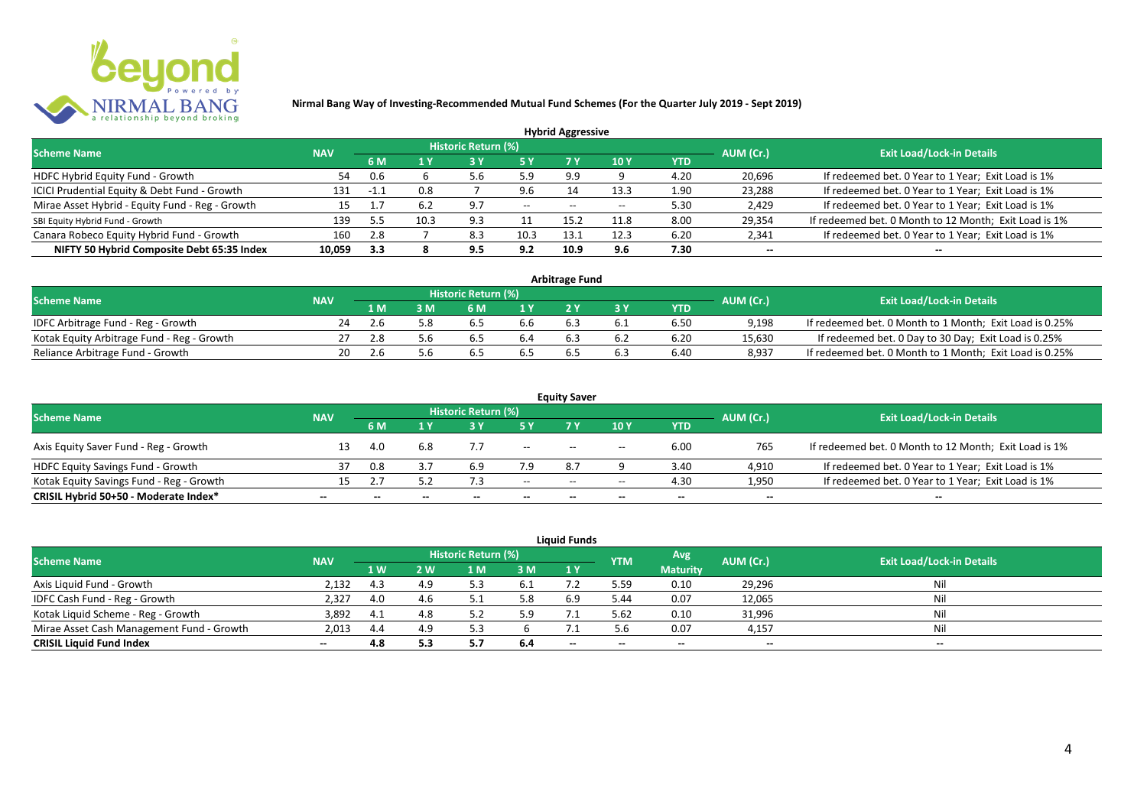

|                                                 |            |      |      |                            |       | <b>Hybrid Aggressive</b> |      |      |                          |                                                       |
|-------------------------------------------------|------------|------|------|----------------------------|-------|--------------------------|------|------|--------------------------|-------------------------------------------------------|
| <b>Scheme Name</b>                              | <b>NAV</b> |      |      | <b>Historic Return (%)</b> |       |                          |      |      | AUM (Cr.)                | <b>Exit Load/Lock-in Details</b>                      |
|                                                 |            | 6 M  | 1 Y  |                            |       | 7 Y                      | 10Y  | YTD  |                          |                                                       |
| HDFC Hybrid Equity Fund - Growth                | 54         | 0.6  |      | 5.6                        | 5.9   | 9.9                      |      | 4.20 | 20,696                   | If redeemed bet. 0 Year to 1 Year; Exit Load is 1%    |
| ICICI Prudential Equity & Debt Fund - Growth    | 131        | -1.1 | 0.8  |                            | 9.6   | 14                       | 13.3 | 1.90 | 23,288                   | If redeemed bet. 0 Year to 1 Year; Exit Load is 1%    |
| Mirae Asset Hybrid - Equity Fund - Reg - Growth | 15         |      | 6.2  | - Q 7                      | $- -$ | $- -$                    |      | 5.30 | 2,429                    | If redeemed bet. 0 Year to 1 Year; Exit Load is 1%    |
| SBI Equity Hybrid Fund - Growth                 | 139        | 5.5  | 10.3 | 9.3                        |       | 15.2                     | 11.8 | 8.00 | 29,354                   | If redeemed bet. 0 Month to 12 Month; Exit Load is 1% |
| Canara Robeco Equity Hybrid Fund - Growth       | 160        | 2.8  |      | 8.3                        | 10.3  | 13.                      | 12.3 | 6.20 | 2,341                    | If redeemed bet. 0 Year to 1 Year; Exit Load is 1%    |
| NIFTY 50 Hybrid Composite Debt 65:35 Index      | 10.059     | 3.3  |      | 9.5                        | 9.2   | 10.9                     | 9.6  | 7.30 | $\overline{\phantom{a}}$ | $- -$                                                 |

| <b>Arbitrage Fund</b>                      |            |     |                                |                     |     |  |     |      |        |                                                         |  |  |  |  |
|--------------------------------------------|------------|-----|--------------------------------|---------------------|-----|--|-----|------|--------|---------------------------------------------------------|--|--|--|--|
| <b>Scheme Name</b>                         | <b>NAV</b> |     |                                | Historic Return (%) |     |  |     |      |        | <b>Exit Load/Lock-in Details</b>                        |  |  |  |  |
|                                            |            | 1 M | AUM (Cr.)<br><b>YTD</b><br>6 M |                     |     |  |     |      |        |                                                         |  |  |  |  |
| IDFC Arbitrage Fund - Reg - Growth         | 24         |     |                                | כ.מ                 | b.b |  |     | 6.50 | 9.198  | If redeemed bet. 0 Month to 1 Month; Exit Load is 0.25% |  |  |  |  |
| Kotak Equity Arbitrage Fund - Reg - Growth |            | 2.8 | 5 h                            | 6.S                 | 6.4 |  | 6.2 | 6.20 | 15,630 | If redeemed bet. 0 Day to 30 Day; Exit Load is 0.25%    |  |  |  |  |
| Reliance Arbitrage Fund - Growth           | 20         |     |                                | D.5                 | 0.5 |  | b.s | 6.40 | 8.937  | If redeemed bet. 0 Month to 1 Month; Exit Load is 0.25% |  |  |  |  |

| <b>Equity Saver</b>                      |                          |     |              |                     |                          |                                       |                                       |                          |                          |                                                       |  |  |  |
|------------------------------------------|--------------------------|-----|--------------|---------------------|--------------------------|---------------------------------------|---------------------------------------|--------------------------|--------------------------|-------------------------------------------------------|--|--|--|
| <b>Scheme Name</b>                       | <b>NAV</b>               |     |              | Historic Return (%) |                          |                                       |                                       |                          | AUM (Cr.)                | <b>Exit Load/Lock-in Details</b>                      |  |  |  |
|                                          |                          | 6 M |              |                     |                          |                                       | 10 Y                                  | YTD                      |                          |                                                       |  |  |  |
| Axis Equity Saver Fund - Reg - Growth    |                          | 4.0 | -6.8         |                     | $\overline{\phantom{a}}$ | $- -$                                 | $\hspace{0.05cm}$ – $\hspace{0.05cm}$ | 6.00                     | 765                      | If redeemed bet. 0 Month to 12 Month; Exit Load is 1% |  |  |  |
| HDFC Equity Savings Fund - Growth        |                          | 0.8 |              |                     | 7.9                      | 8.7                                   |                                       | 3.40                     | 4,910                    | If redeemed bet. 0 Year to 1 Year; Exit Load is 1%    |  |  |  |
| Kotak Equity Savings Fund - Reg - Growth | 15.                      |     | 57           |                     | $- -$                    | $\hspace{0.05cm}$ – $\hspace{0.05cm}$ | $\overline{\phantom{a}}$              | 4.30                     | 1,950                    | If redeemed bet. 0 Year to 1 Year; Exit Load is 1%    |  |  |  |
| CRISIL Hybrid 50+50 - Moderate Index*    | $\overline{\phantom{a}}$ |     | $\mathbf{m}$ | $\qquad \qquad$     | $\overline{\phantom{a}}$ | $- -$                                 | $\overline{\phantom{a}}$              | $\overline{\phantom{a}}$ | $\overline{\phantom{a}}$ | $\overline{\phantom{a}}$                              |  |  |  |

| <b>Liquid Funds</b>                       |            |     |     |                     |      |       |            |                 |           |                                  |  |  |  |
|-------------------------------------------|------------|-----|-----|---------------------|------|-------|------------|-----------------|-----------|----------------------------------|--|--|--|
| <b>Scheme Name</b>                        | <b>NAV</b> |     |     | Historic Return (%) |      |       | <b>YTM</b> | Avg             | AUM (Cr.) | <b>Exit Load/Lock-in Details</b> |  |  |  |
|                                           |            | 1 W | 2 W | 1 M                 | 3 M  | 1Y    |            | <b>Maturity</b> |           |                                  |  |  |  |
| Axis Liquid Fund - Growth                 | 2,132      | 4.3 | 4 q |                     | -6.1 |       | 5.59       | 0.10            | 29,296    | Nil                              |  |  |  |
| IDFC Cash Fund - Reg - Growth             | 2,327      | 4.0 | 4.6 |                     | 5.8  | 6.9   | 5.44       | 0.07            | 12,065    | Nil                              |  |  |  |
| Kotak Liquid Scheme - Reg - Growth        | 3,892      | 4.1 | 4.8 | 5.2                 |      |       | 5.62       | 0.10            | 31,996    | Nil                              |  |  |  |
| Mirae Asset Cash Management Fund - Growth | 2,013      | 4.4 | 4.9 |                     |      |       | 5 h        | 0.07            | 4,157     | Nil                              |  |  |  |
| <b>CRISIL Liquid Fund Index</b>           | $- -$      | 4.8 | 5.3 | <b>.,,</b>          | 6.4  | $- -$ | $- -$      | $- -$           | --        | $- -$                            |  |  |  |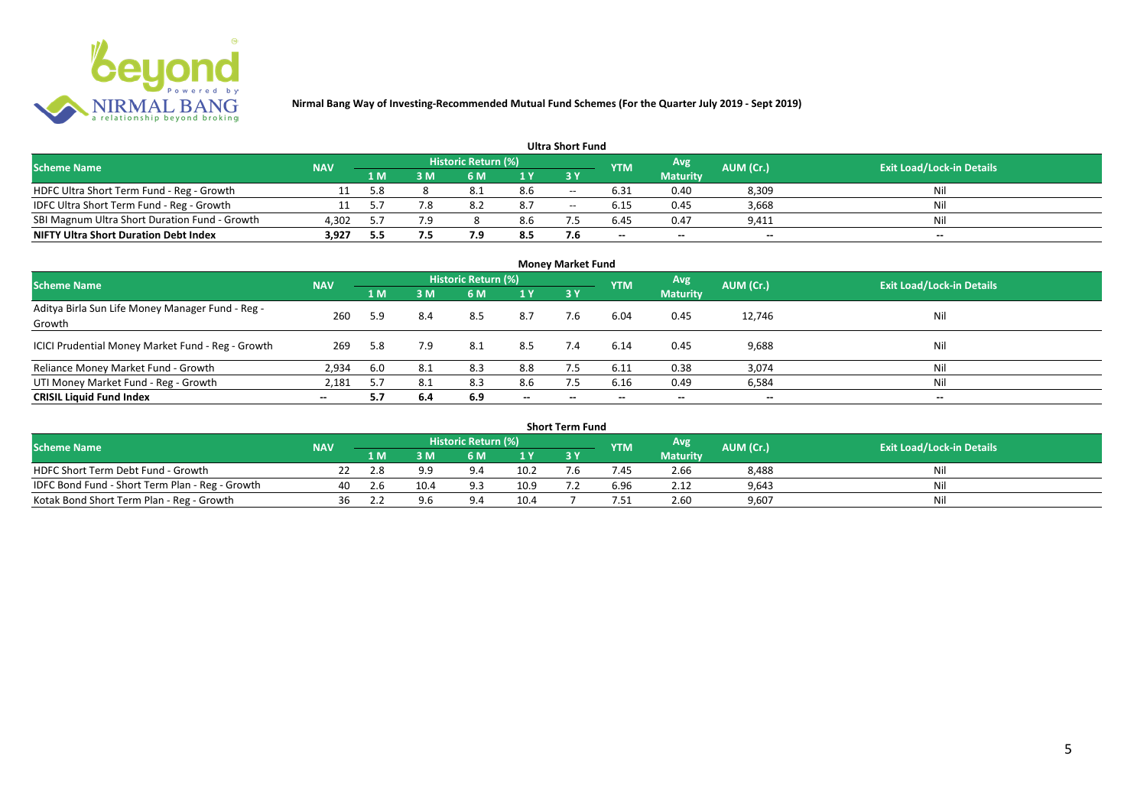

#### **1 M 3 M 6 M 1 Y 3 Y** NOFC Ultra Short Term Fund - Reg - Growth 11 5.8 8 8.1 8.6 -- 6.31 0.40 8,309 Nil<br>11 5.7 7.8 8.2 8.7 -- 6.15 0.45 3,668 Nil IDFC Ultra Short Term Fund - Reg - Growth 11 5.7 7.8 8.2 8.7 -- 6.15 0.45 3,668 Nil Nil<br>SBI Magnum Ultra Short Duration Fund - Growth 4.302 5.7 7.9 8 8.6 7.5 6.45 0.47 9.411 Nil Nil SBI Magnum Ultra Short Duration Fund - Growth 4,302 5.7 7.9 8 8.6 7.5 6.45 0.47 9,411 Nil<br>NIFTY Ultra Short Duration Debt Index 3,927 5.5 7.5 7.9 8.5 7.6 - - - - - -**NIFTY Ultra Short Duration Debt Index 3,927 5.5 7.5 7.9 8.5 7.6 -- -- -- -- Avg Maturity Historic Return (%) YTM Ultra Short Fund** Scheme Name **NAV NAV Historic Return (%)** NAV Historic Return (%) Note and the May AUM (Cr.) Exit Load/Lock-in Details<br>The Scheme Name of the State Load/Lock-in Details

| <b>Money Market Fund</b>                                   |            |     |     |                            |                          |           |            |                          |                          |                                  |  |  |  |
|------------------------------------------------------------|------------|-----|-----|----------------------------|--------------------------|-----------|------------|--------------------------|--------------------------|----------------------------------|--|--|--|
| <b>Scheme Name</b>                                         | <b>NAV</b> |     |     | <b>Historic Return (%)</b> |                          |           | <b>YTM</b> | Avg                      | AUM (Cr.)                | <b>Exit Load/Lock-in Details</b> |  |  |  |
|                                                            |            | 1 M | 3M  | 6 M                        | 1 Y                      | <b>3Y</b> |            | <b>Maturity</b>          |                          |                                  |  |  |  |
| Aditya Birla Sun Life Money Manager Fund - Reg -<br>Growth | 260        | 5.9 | 8.4 | 8.5                        | 8.7                      | 7.6       | 6.04       | 0.45                     | 12,746                   | Nil                              |  |  |  |
| ICICI Prudential Money Market Fund - Reg - Growth          | 269        | 5.8 | 7.9 | 8.1                        | 8.5                      | 7.4       | 6.14       | 0.45                     | 9,688                    | Nil                              |  |  |  |
| Reliance Money Market Fund - Growth                        | 2,934      | 6.0 | 8.1 | 8.3                        | 8.8                      |           | 6.11       | 0.38                     | 3,074                    | Nil                              |  |  |  |
| UTI Money Market Fund - Reg - Growth                       | 2,181      | 5.7 | 8.1 | 8.3                        | 8.6                      | 7.5       | 6.16       | 0.49                     | 6,584                    | Nil                              |  |  |  |
| <b>CRISIL Liquid Fund Index</b>                            | $- -$      | 5.7 | 6.4 | 6.9                        | $\overline{\phantom{a}}$ | $- -$     | $\!-$      | $\overline{\phantom{a}}$ | $\overline{\phantom{a}}$ | $\overline{\phantom{a}}$         |  |  |  |

| Short Term Fund                                 |            |     |      |                     |                |              |                |                 |           |                                  |  |  |  |  |
|-------------------------------------------------|------------|-----|------|---------------------|----------------|--------------|----------------|-----------------|-----------|----------------------------------|--|--|--|--|
| <b>Scheme Name</b>                              | <b>NAV</b> |     |      | Historic Return (%) |                |              | <b>YTM</b>     | Avg             | AUM (Cr.) | <b>Exit Load/Lock-in Details</b> |  |  |  |  |
|                                                 |            | 1 M | 3 M  | 6 M                 | 1 <sub>V</sub> |              |                | <b>Maturity</b> |           |                                  |  |  |  |  |
| HDFC Short Term Debt Fund - Growth              |            | 2.8 | a a  |                     | 10.2           | $\mathbf{b}$ | .45            | 2.66            | 8,488     | Nil                              |  |  |  |  |
| IDFC Bond Fund - Short Term Plan - Reg - Growth | 40         | 2.6 | 10.4 |                     | 10.9           |              | 6.96           | 2.12            | 9,643     | Nil                              |  |  |  |  |
| Kotak Bond Short Term Plan - Reg - Growth       | 36         |     | 9 R  |                     | 10.4           |              | $^{\prime}.51$ | 2.60            | 9,607     | Nil                              |  |  |  |  |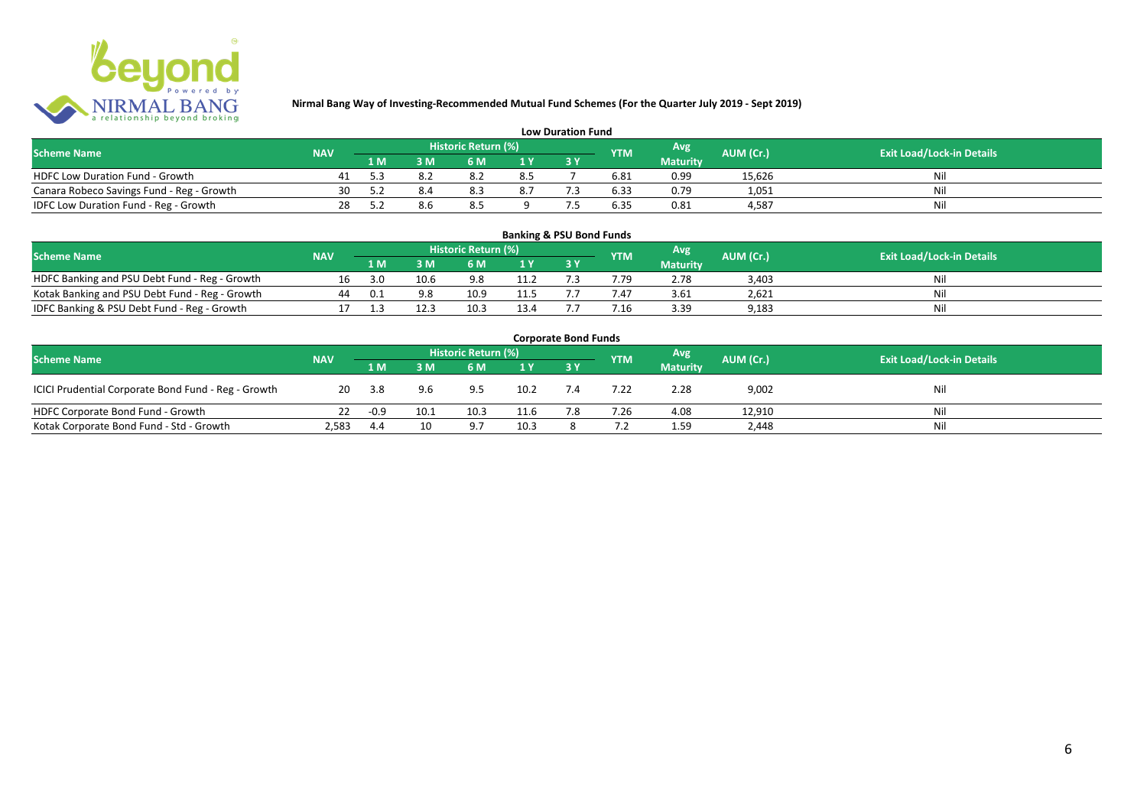

| <b>Low Duration Fund</b>                  |            |     |  |                     |     |  |            |                 |           |                                  |  |  |  |  |
|-------------------------------------------|------------|-----|--|---------------------|-----|--|------------|-----------------|-----------|----------------------------------|--|--|--|--|
| <b>Scheme Name</b>                        | <b>NAV</b> |     |  | Historic Return (%) |     |  | <b>YTM</b> | Avg             | AUM (Cr.) | <b>Exit Load/Lock-in Details</b> |  |  |  |  |
|                                           |            | 1 M |  | 6 M.                |     |  |            | <b>Maturity</b> |           |                                  |  |  |  |  |
| HDFC Low Duration Fund - Growth           |            |     |  |                     | 8.5 |  | 6.81       | 0.99            | 15,626    | Nli                              |  |  |  |  |
| Canara Robeco Savings Fund - Reg - Growth | 30         |     |  | 8.3                 | 8.7 |  | 6.33       | 0.79            | 1,051     | Ni                               |  |  |  |  |
| IDFC Low Duration Fund - Reg - Growth     | 28         |     |  | 8.5                 |     |  | 6.35       | 0.81            | 4.587     | Ni                               |  |  |  |  |

#### **1 M 3 M 6 M 1 Y 3 Y** Notak Banking and PSU Debt Fund - Reg - Growth 16 3.0 10.6 9.8 11.2 7.3 7.79 2.78 3,403 Nil<br>
Kotak Banking and PSU Debt Fund - Reg - Growth 44 0.1 9.8 10.9 11.5 7.7 7.47 3.61 2,621 Nil Notak Banking and PSU Debt Fund - Reg - Growth 44 0.1 9.8 10.9 11.5 7.7 7.47 3.61 2,621 Nil<br>1999 - IDFC Banking & PSU Debt Fund - Reg - Growth 17 1.3 12.3 10.3 13.4 7.7 7.16 3.39 9,183 IDFC Banking & PSU Debt Fund - Reg - Growth 17 1.3 12.3 10.3 13.4 7.7 7.16 3.39 9,183 **Banking & PSU Bond Funds Scheme Name NAV REGISTER AUM (Cr.) AUM (Cr.)** Exit Load/Lock-in Details **Historic Return (%) Maturity**

| <b>Corporate Bond Funds</b>                         |            |        |      |                     |      |     |            |                 |           |                                  |  |  |  |  |
|-----------------------------------------------------|------------|--------|------|---------------------|------|-----|------------|-----------------|-----------|----------------------------------|--|--|--|--|
| <b>Scheme Name</b>                                  | <b>NAV</b> |        |      | Historic Return (%) |      |     | <b>YTM</b> | <b>Avg</b>      | AUM (Cr.) | <b>Exit Load/Lock-in Details</b> |  |  |  |  |
|                                                     |            | 1 M    | 3 M  | 6 M                 | 1Y   |     |            | <b>Maturity</b> |           |                                  |  |  |  |  |
| ICICI Prudential Corporate Bond Fund - Reg - Growth | 20         | 3.8    | 9.6  | 9.5                 | 10.2 | 7.4 | 7.22       | 2.28            | 9,002     | Nil                              |  |  |  |  |
| HDFC Corporate Bond Fund - Growth                   |            | $-0.9$ | 10.1 | 10.3                | 11.6 | 7.8 | 7.26       | 4.08            | 12,910    | Ni                               |  |  |  |  |
| Kotak Corporate Bond Fund - Std - Growth            | 2,583      | 4.4    | 10   |                     | 10.3 |     |            | 1.59            | 2,448     | Nil                              |  |  |  |  |